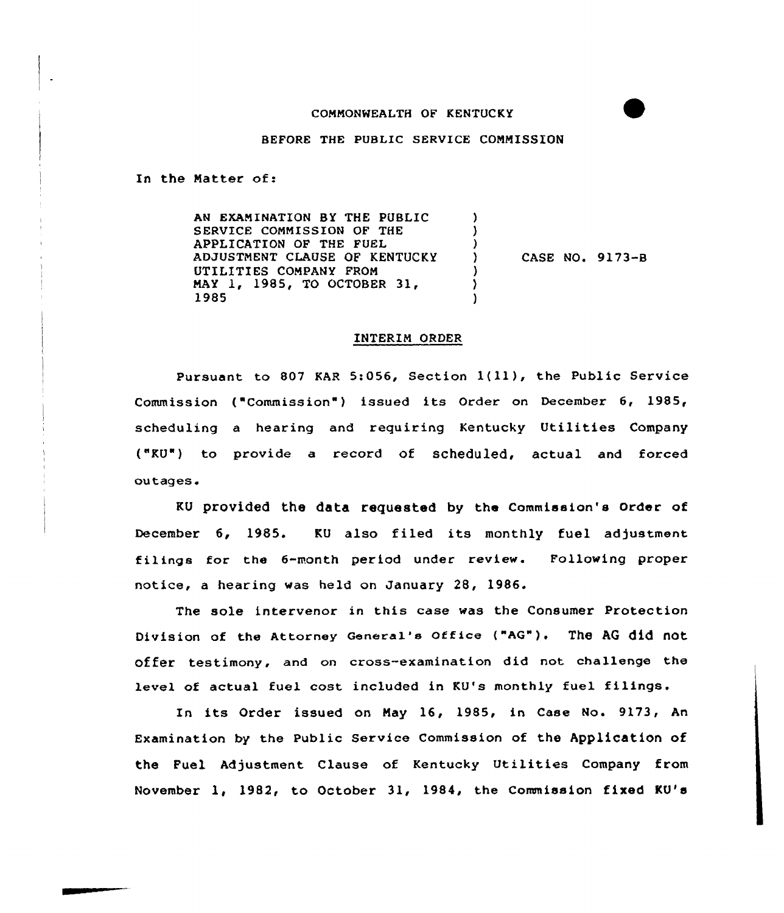## COMMONWEALTH OF KENTUCKY

BEFORE THE PUBLIC SERVICE COMMISSION

In the Natter of:

AN EXAMINATION BY THE PUBLIC  $\lambda$ SERVICE COMMISSION OF THE APPLICATION OF THE FUEL ADJUSTMENT CLAUSE OF KENTUCKY CASE NO. 9173-B  $\mathbf{L}$ UTILITIES COMPANY FROM NAY l, 1985, TO OCTOBER 31, ١. 1985

## INTERIM ORDER

Pursuant to <sup>807</sup> KAR 5:056, Section l(ll), the Public Service Commission ("Commission") issued its Order on December 6, 1985, scheduling a hearing and requiring Kentucky Utilities Company ("KU") to provide a record of scheduled, actual and forced outages.

KU provided the data requested by the Commission's order of December 6, 1985. KU also filed its monthly fuel adjustment filings for the 6-month period under review. Following proper notice, a hearing was held on January 28, 1986.

The sole intervenor in this case was the Consumer Protection Division of the Attorney General's Office ("AG"). The AG did not Offer testimony, and on cross-examination did not challenge the level of actual fuel cost included in KU's monthly fuel filings.

In its Order issued on Nay 16, 1985, in Case No. 9173, An Examination by the public service Commission of the Application of the Fuel Adjustment Clause of Kentucky Utilities Company from November 1, 1982, to October 31, 1984, the Commission fixed KU's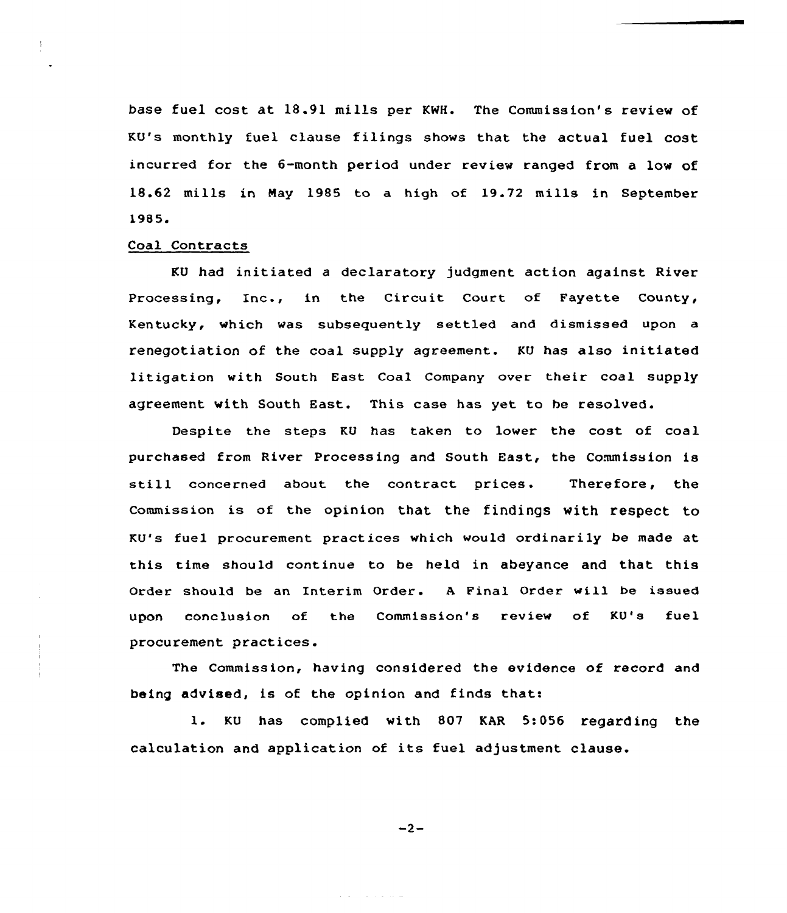base fuel cost at 18.91 mills per KWH. The Commission's review of KU's monthly fuel clause filings shows that the actual fuel cost incurred for the 6-month period under review ranged from a low of 18.62 mills in Nay 1985 to a high of 19.72 mills in September 1985<sup>~</sup>

## Coal Contracts

KU had initiated a declaratory judgment action against River Processing, Inc., in the Circuit Court of Fayette County, Kentucky, which was subsequently settled and dismissed upon a renegotiation of the coal supply agreement. KU has also initiated litigation with South East Coal Company over their coal supply agreement with South East. This case has yet to be resolved.

Despite the steps KU has taken to lower the cost of coal purchased from River Processing and South East, the Commission is still concerned about the contract prices. Therefore, the Commission is of the opinion that the findings with respect to KU's fuel procurement pxactices which would ordinarily be made at this time should continue to be held in abeyance and that this Order should be an Intexim Order. <sup>A</sup> Final Order will be issued upon conclusion of the Commission's review of KU's fuel procurement practices.

The Commission, having considered the evidence of record and being advised, is of the opinion and finds that:

1. KU has complied with <sup>807</sup> KAR 5:056 regarding the calculation and application of its fuel adjustment clause.

$$
-2-
$$